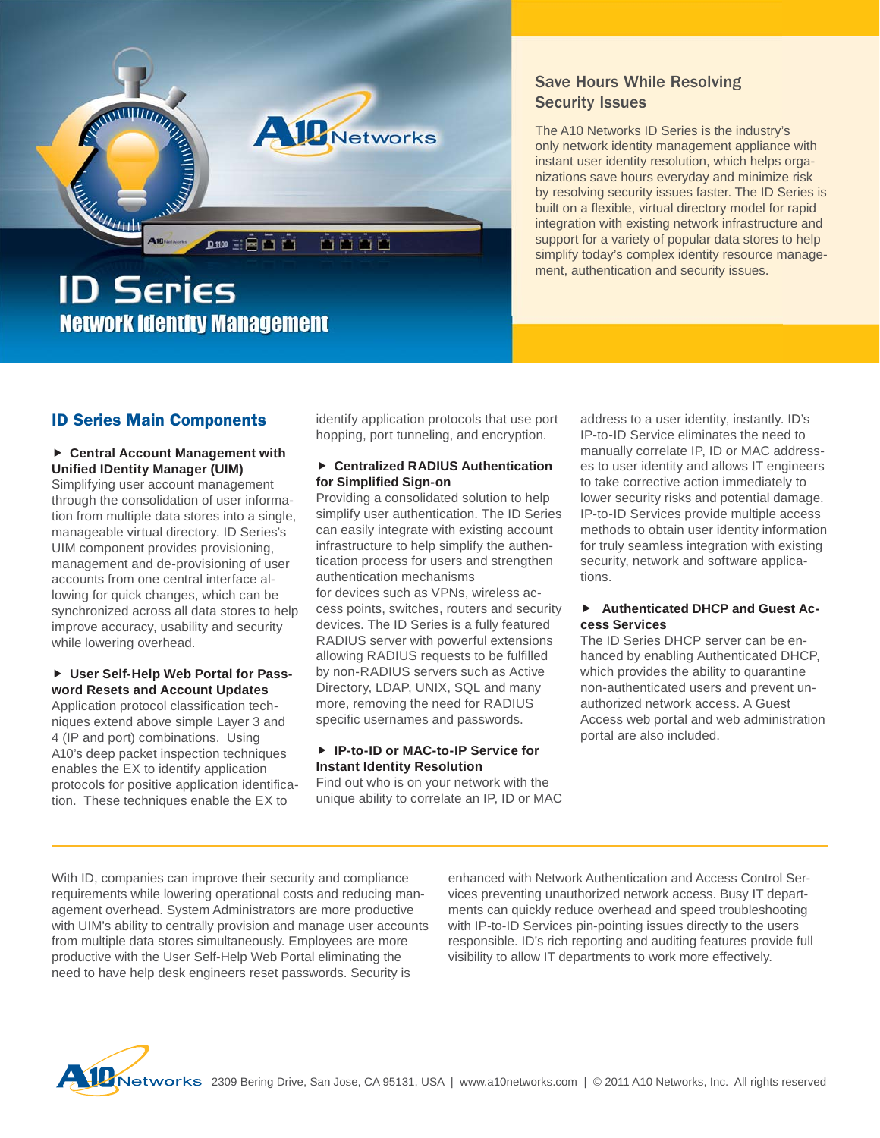

# Save Hours While Resolving<br>Security Issues Security Issues

The A10 Networks ID Series is the industry's only network identity management appliance with instant user identity resolution, which helps organizations save hours everyday and minimize risk by resolving security issues faster. The ID Series is built on a flexible, virtual directory model for rapid integration with existing network infrastructure and support for a variety of popular data stores to help simplify today's complex identity resource management, authentication and security issues.

### **ID Series Main Components**

#### **Central Account Management with Unifi ed IDentity Manager (UIM)**

Simplifying user account management through the consolidation of user information from multiple data stores into a single, manageable virtual directory. ID Series's UIM component provides provisioning, management and de-provisioning of user accounts from one central interface allowing for quick changes, which can be synchronized across all data stores to help improve accuracy, usability and security while lowering overhead.

#### **User Self-Help Web Portal for Password Resets and Account Updates**

Application protocol classification techniques extend above simple Layer 3 and 4 (IP and port) combinations. Using A10's deep packet inspection techniques enables the EX to identify application protocols for positive application identification. These techniques enable the EX to

identify application protocols that use port hopping, port tunneling, and encryption.

#### **Centralized RADIUS Authentication for Simplified Sign-on**

Providing a consolidated solution to help simplify user authentication. The ID Series can easily integrate with existing account infrastructure to help simplify the authentication process for users and strengthen authentication mechanisms for devices such as VPNs, wireless access points, switches, routers and security devices. The ID Series is a fully featured RADIUS server with powerful extensions allowing RADIUS requests to be fulfilled by non-RADIUS servers such as Active Directory, LDAP, UNIX, SQL and many more, removing the need for RADIUS specific usernames and passwords.

#### **IP-to-ID or MAC-to-IP Service for Instant Identity Resolution**

Find out who is on your network with the unique ability to correlate an IP, ID or MAC address to a user identity, instantly. ID's IP-to-ID Service eliminates the need to manually correlate IP, ID or MAC addresses to user identity and allows IT engineers to take corrective action immediately to lower security risks and potential damage. IP-to-ID Services provide multiple access methods to obtain user identity information for truly seamless integration with existing security, network and software applications.

#### **Authenticated DHCP and Guest Access Services**

The ID Series DHCP server can be enhanced by enabling Authenticated DHCP, which provides the ability to quarantine non-authenticated users and prevent unauthorized network access. A Guest Access web portal and web administration portal are also included.

With ID, companies can improve their security and compliance requirements while lowering operational costs and reducing management overhead. System Administrators are more productive with UIM's ability to centrally provision and manage user accounts from multiple data stores simultaneously. Employees are more productive with the User Self-Help Web Portal eliminating the need to have help desk engineers reset passwords. Security is

enhanced with Network Authentication and Access Control Services preventing unauthorized network access. Busy IT departments can quickly reduce overhead and speed troubleshooting with IP-to-ID Services pin-pointing issues directly to the users responsible. ID's rich reporting and auditing features provide full visibility to allow IT departments to work more effectively.